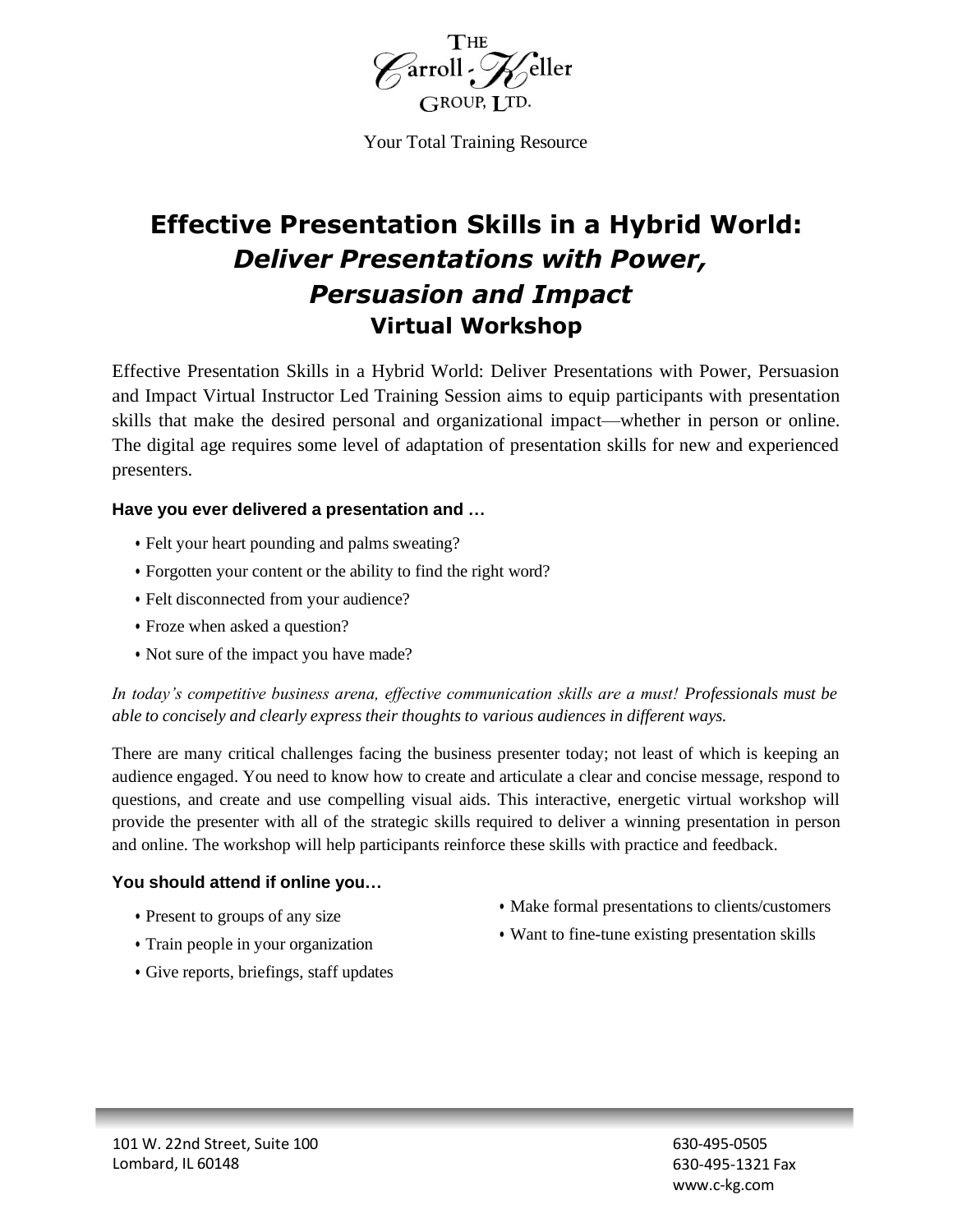

Your Total Training Resource

# **Effective Presentation Skills in a Hybrid World:** *Deliver Presentations with Power, Persuasion and Impact* **Virtual Workshop**

Effective Presentation Skills in a Hybrid World: Deliver Presentations with Power, Persuasion and Impact Virtual Instructor Led Training Session aims to equip participants with presentation skills that make the desired personal and organizational impact—whether in person or online. The digital age requires some level of adaptation of presentation skills for new and experienced presenters.

## **Have you ever delivered a presentation and …**

- Felt your heart pounding and palms sweating?
- Forgotten your content or the ability to find the right word?
- Felt disconnected from your audience?
- Froze when asked a question?
- Not sure of the impact you have made?

*In today's competitive business arena, effective communication skills are a must! Professionals must be able to concisely and clearly express their thoughts to various audiences in different ways.*

There are many critical challenges facing the business presenter today; not least of which is keeping an audience engaged. You need to know how to create and articulate a clear and concise message, respond to questions, and create and use compelling visual aids. This interactive, energetic virtual workshop will provide the presenter with all of the strategic skills required to deliver a winning presentation in person and online. The workshop will help participants reinforce these skills with practice and feedback.

## **You should attend if online you…**

- Present to groups of any size
- Train people in your organization
- Give reports, briefings, staff updates
- Make formal presentations to clients/customers
- Want to fine-tune existing presentation skills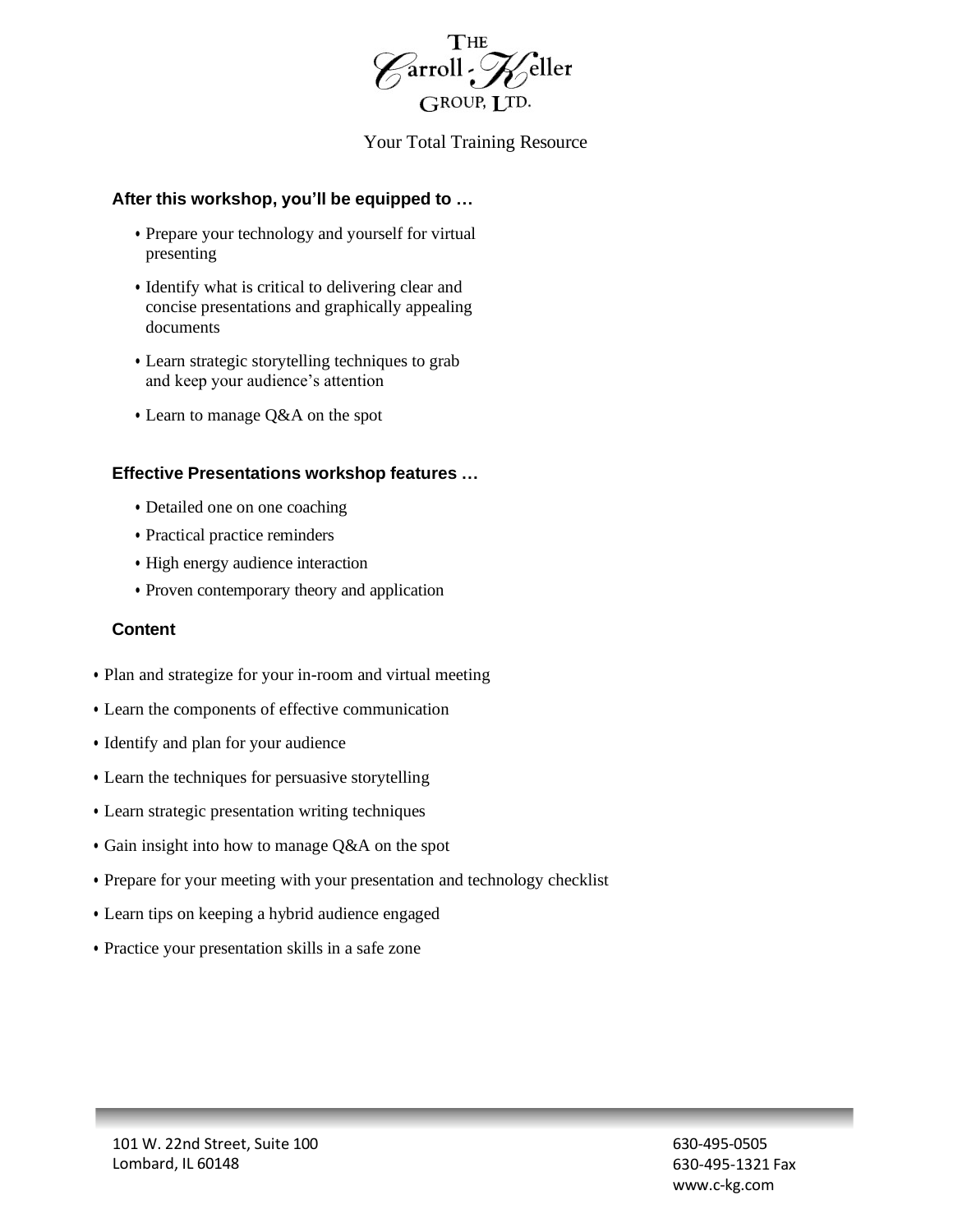

## Your Total Training Resource

#### **After this workshop, you'll be equipped to …**

- Prepare your technology and yourself for virtual presenting
- Identify what is critical to delivering clear and concise presentations and graphically appealing documents
- Learn strategic storytelling techniques to grab and keep your audience's attention
- Learn to manage Q&A on the spot

#### **Effective Presentations workshop features …**

- Detailed one on one coaching
- Practical practice reminders
- High energy audience interaction
- Proven contemporary theory and application

#### **Content**

- Plan and strategize for your in-room and virtual meeting
- Learn the components of effective communication
- Identify and plan for your audience
- Learn the techniques for persuasive storytelling
- Learn strategic presentation writing techniques
- Gain insight into how to manage Q&A on the spot
- Prepare for your meeting with your presentation and technology checklist
- Learn tips on keeping a hybrid audience engaged
- Practice your presentation skills in a safe zone